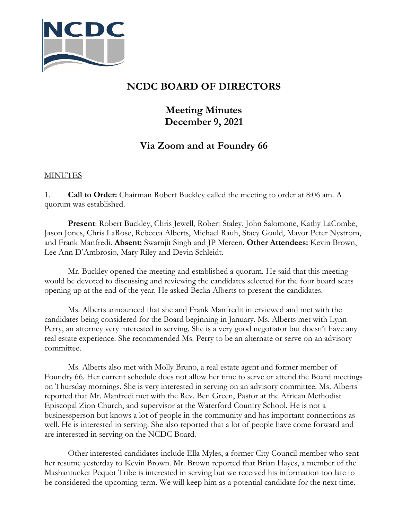

## **NCDC BOARD OF DIRECTORS**

## **Meeting Minutes December 9, 2021**

## **Via Zoom and at Foundry 66**

## MINUTES

1. **Call to Order:** Chairman Robert Buckley called the meeting to order at 8:06 am. A quorum was established.

**Present**: Robert Buckley, Chris Jewell, Robert Staley, John Salomone, Kathy LaCombe, Jason Jones, Chris LaRose, Rebecca Alberts, Michael Rauh, Stacy Gould, Mayor Peter Nystrom, and Frank Manfredi. **Absent:** Swarnjit Singh and JP Mereen. **Other Attendees:** Kevin Brown, Lee Ann D'Ambrosio, Mary Riley and Devin Schleidt.

Mr. Buckley opened the meeting and established a quorum. He said that this meeting would be devoted to discussing and reviewing the candidates selected for the four board seats opening up at the end of the year. He asked Becka Alberts to present the candidates.

Ms. Alberts announced that she and Frank Manfredit interviewed and met with the candidates being considered for the Board beginning in January. Ms. Alberts met with Lynn Perry, an attorney very interested in serving. She is a very good negotiator but doesn't have any real estate experience. She recommended Ms. Perry to be an alternate or serve on an advisory committee.

Ms. Alberts also met with Molly Bruno, a real estate agent and former member of Foundry 66. Her current schedule does not allow her time to serve or attend the Board meetings on Thursday mornings. She is very interested in serving on an advisory committee. Ms. Alberts reported that Mr. Manfredi met with the Rev. Ben Green, Pastor at the African Methodist Episcopal Zion Church, and supervisor at the Waterford Country School. He is not a businessperson but knows a lot of people in the community and has important connections as well. He is interested in serving. She also reported that a lot of people have come forward and are interested in serving on the NCDC Board.

Other interested candidates include Ella Myles, a former City Council member who sent her resume yesterday to Kevin Brown. Mr. Brown reported that Brian Hayes, a member of the Mashantucket Pequot Tribe is interested in serving but we received his information too late to be considered the upcoming term. We will keep him as a potential candidate for the next time.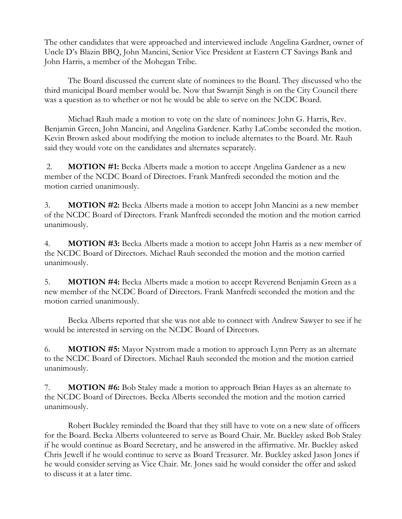The other candidates that were approached and interviewed include Angelina Gardner, owner of Uncle D's Blazin BBQ, John Mancini, Senior Vice President at Eastern CT Savings Bank and John Harris, a member of the Mohegan Tribe.

The Board discussed the current slate of nominees to the Board. They discussed who the third municipal Board member would be. Now that Swarnjit Singh is on the City Council there was a question as to whether or not he would be able to serve on the NCDC Board.

Michael Rauh made a motion to vote on the slate of nominees: John G. Harris, Rev. Benjamin Green, John Mancini, and Angelina Gardener. Kathy LaCombe seconded the motion. Kevin Brown asked about modifying the motion to include alternates to the Board. Mr. Rauh said they would vote on the candidates and alternates separately.

2. **MOTION #1:** Becka Alberts made a motion to accept Angelina Gardener as a new member of the NCDC Board of Directors. Frank Manfredi seconded the motion and the motion carried unanimously.

3. **MOTION #2:** Becka Alberts made a motion to accept John Mancini as a new member of the NCDC Board of Directors. Frank Manfredi seconded the motion and the motion carried unanimously.

4. **MOTION #3:** Becka Alberts made a motion to accept John Harris as a new member of the NCDC Board of Directors. Michael Rauh seconded the motion and the motion carried unanimously.

5. **MOTION #4:** Becka Alberts made a motion to accept Reverend Benjamin Green as a new member of the NCDC Board of Directors. Frank Manfredi seconded the motion and the motion carried unanimously.

Becka Alberts reported that she was not able to connect with Andrew Sawyer to see if he would be interested in serving on the NCDC Board of Directors.

6. **MOTION #5:** Mayor Nystrom made a motion to approach Lynn Perry as an alternate to the NCDC Board of Directors. Michael Rauh seconded the motion and the motion carried unanimously.

7. **MOTION #6:** Bob Staley made a motion to approach Brian Hayes as an alternate to the NCDC Board of Directors. Becka Alberts seconded the motion and the motion carried unanimously.

Robert Buckley reminded the Board that they still have to vote on a new slate of officers for the Board. Becka Alberts volunteered to serve as Board Chair. Mr. Buckley asked Bob Staley if he would continue as Board Secretary, and he answered in the affirmative. Mr. Buckley asked Chris Jewell if he would continue to serve as Board Treasurer. Mr. Buckley asked Jason Jones if he would consider serving as Vice Chair. Mr. Jones said he would consider the offer and asked to discuss it at a later time.